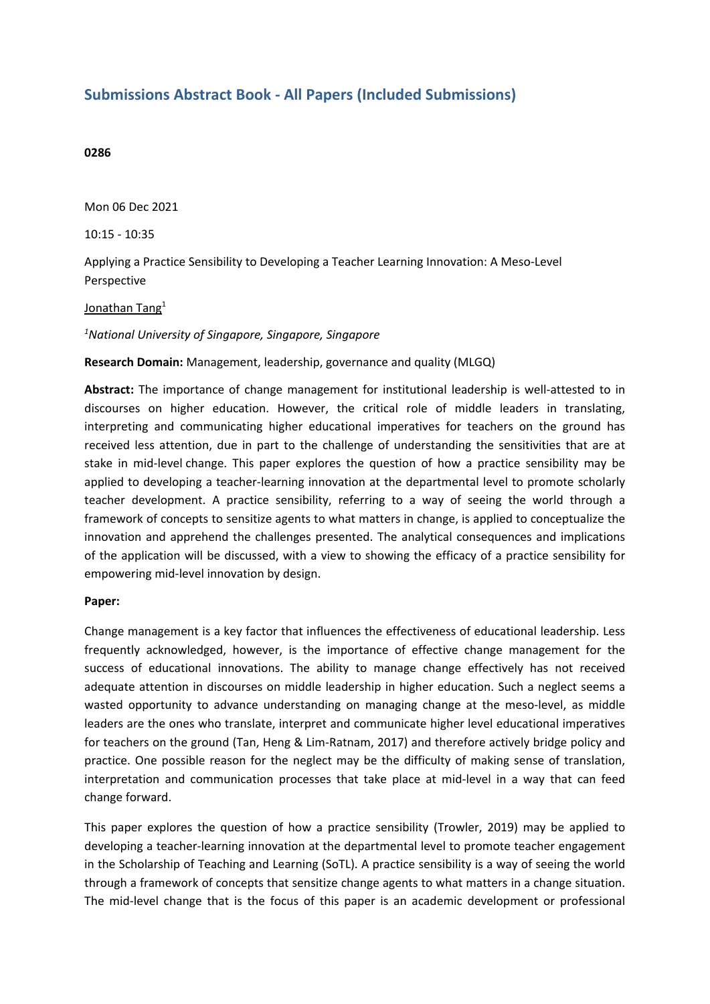# **Submissions Abstract Book - All Papers (Included Submissions)**

#### **0286**

Mon 06 Dec 2021

10:15 - 10:35

Applying <sup>a</sup> Practice Sensibility to Developing <sup>a</sup> Teacher Learning Innovation: A Meso-Level Perspective

#### <u>Jonathan Tang</u><sup>1</sup>

### *1 National University of Singapore, Singapore, Singapore*

#### **Research Domain:** Management, leadership, governance and quality (MLGQ)

**Abstract:** The importance of change management for institutional leadership is well-attested to in discourses on higher education. However, the critical role of middle leaders in translating, interpreting and communicating higher educational imperatives for teachers on the ground has received less attention, due in part to the challenge of understanding the sensitivities that are at stake in mid-level change. This paper explores the question of how <sup>a</sup> practice sensibility may be applied to developing <sup>a</sup> teacher-learning innovation at the departmental level to promote scholarly teacher development. A practice sensibility, referring to <sup>a</sup> way of seeing the world through <sup>a</sup> framework of concepts to sensitize agents to what matters in change, is applied to conceptualize the innovation and apprehend the challenges presented. The analytical consequences and implications of the application will be discussed, with <sup>a</sup> view to showing the efficacy of <sup>a</sup> practice sensibility for empowering mid-level innovation by design.

#### **Paper:**

Change management is <sup>a</sup> key factor that influences the effectiveness of educational leadership. Less frequently acknowledged, however, is the importance of effective change management for the success of educational innovations. The ability to manage change effectively has not received adequate attention in discourses on middle leadership in higher education. Such <sup>a</sup> neglect seems <sup>a</sup> wasted opportunity to advance understanding on managing change at the meso-level, as middle leaders are the ones who translate, interpret and communicate higher level educational imperatives for teachers on the ground (Tan, Heng & Lim-Ratnam, 2017) and therefore actively bridge policy and practice. One possible reason for the neglect may be the difficulty of making sense of translation, interpretation and communication processes that take place at mid-level in <sup>a</sup> way that can feed change forward.

This paper explores the question of how <sup>a</sup> practice sensibility (Trowler, 2019) may be applied to developing <sup>a</sup> teacher-learning innovation at the departmental level to promote teacher engagement in the Scholarship of Teaching and Learning (SoTL). A practice sensibility is <sup>a</sup> way of seeing the world through <sup>a</sup> framework of concepts that sensitize change agents to what matters in <sup>a</sup> change situation. The mid-level change that is the focus of this paper is an academic development or professional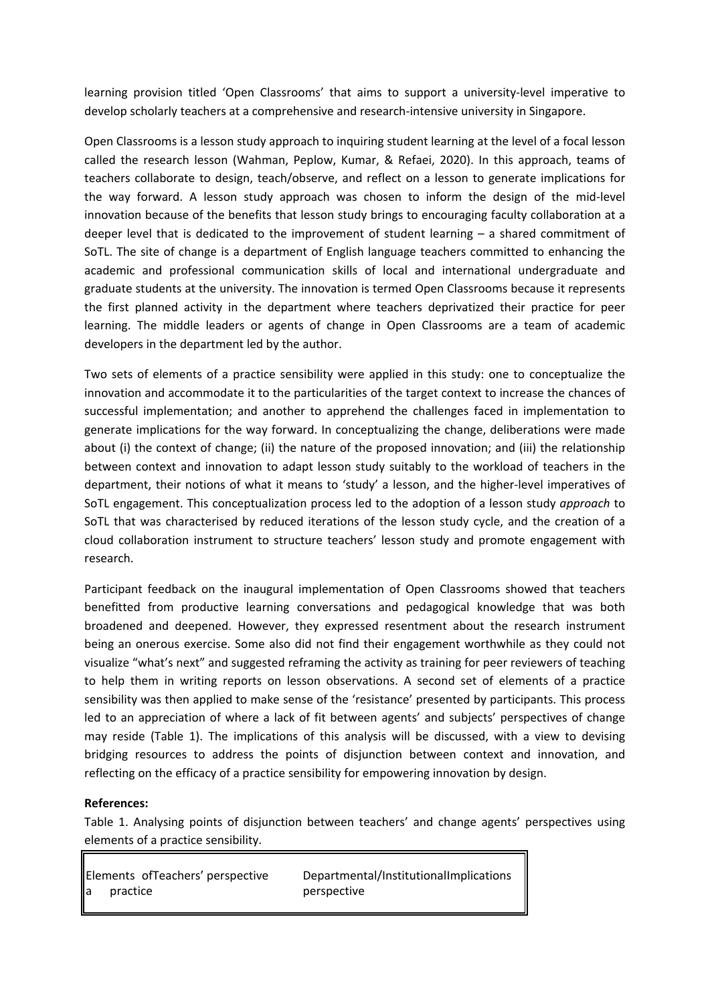learning provision titled 'Open Classrooms' that aims to support <sup>a</sup> university-level imperative to develop scholarly teachers at <sup>a</sup> comprehensive and research-intensive university in Singapore.

Open Classrooms is <sup>a</sup> lesson study approach to inquiring student learning at the level of <sup>a</sup> focal lesson called the research lesson (Wahman, Peplow, Kumar, & Refaei, 2020). In this approach, teams of teachers collaborate to design, teach/observe, and reflect on <sup>a</sup> lesson to generate implications for the way forward. A lesson study approach was chosen to inform the design of the mid-level innovation because of the benefits that lesson study brings to encouraging faculty collaboration at <sup>a</sup> deeper level that is dedicated to the improvement of student learning – <sup>a</sup> shared commitment of SoTL. The site of change is <sup>a</sup> department of English language teachers committed to enhancing the academic and professional communication skills of local and international undergraduate and graduate students at the university. The innovation is termed Open Classrooms because it represents the first planned activity in the department where teachers deprivatized their practice for peer learning. The middle leaders or agents of change in Open Classrooms are <sup>a</sup> team of academic developers in the department led by the author.

Two sets of elements of <sup>a</sup> practice sensibility were applied in this study: one to conceptualize the innovation and accommodate it to the particularities of the target context to increase the chances of successful implementation; and another to apprehend the challenges faced in implementation to generate implications for the way forward. In conceptualizing the change, deliberations were made about (i) the context of change; (ii) the nature of the proposed innovation; and (iii) the relationship between context and innovation to adapt lesson study suitably to the workload of teachers in the department, their notions of what it means to 'study' <sup>a</sup> lesson, and the higher-level imperatives of SoTL engagement. This conceptualization process led to the adoption of <sup>a</sup> lesson study *approach* to SoTL that was characterised by reduced iterations of the lesson study cycle, and the creation of <sup>a</sup> cloud collaboration instrument to structure teachers' lesson study and promote engagement with research.

Participant feedback on the inaugural implementation of Open Classrooms showed that teachers benefitted from productive learning conversations and pedagogical knowledge that was both broadened and deepened. However, they expressed resentment about the research instrument being an onerous exercise. Some also did not find their engagement worthwhile as they could not visualize "what's next" and suggested reframing the activity as training for peer reviewers of teaching to help them in writing reports on lesson observations. A second set of elements of <sup>a</sup> practice sensibility was then applied to make sense of the 'resistance' presented by participants. This process led to an appreciation of where <sup>a</sup> lack of fit between agents' and subjects' perspectives of change may reside (Table 1). The implications of this analysis will be discussed, with <sup>a</sup> view to devising bridging resources to address the points of disjunction between context and innovation, and reflecting on the efficacy of <sup>a</sup> practice sensibility for empowering innovation by design.

#### **References:**

Table 1. Analysing points of disjunction between teachers' and change agents' perspectives using elements of <sup>a</sup> practice sensibility.

| Elements of Teachers' perspective | Departmental/InstitutionalImplications |
|-----------------------------------|----------------------------------------|
| $\parallel$ a<br>practice         | perspective                            |